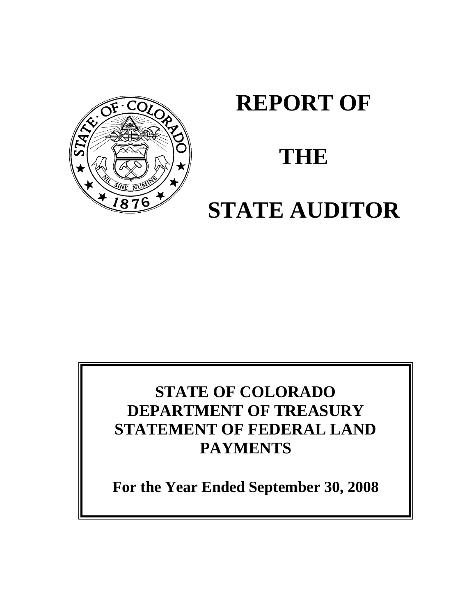

# **REPORT OF**

# **THE**

# **STATE AUDITOR**

# **STATE OF COLORADO DEPARTMENT OF TREASURY STATEMENT OF FEDERAL LAND PAYMENTS**

**For the Year Ended September 30, 2008**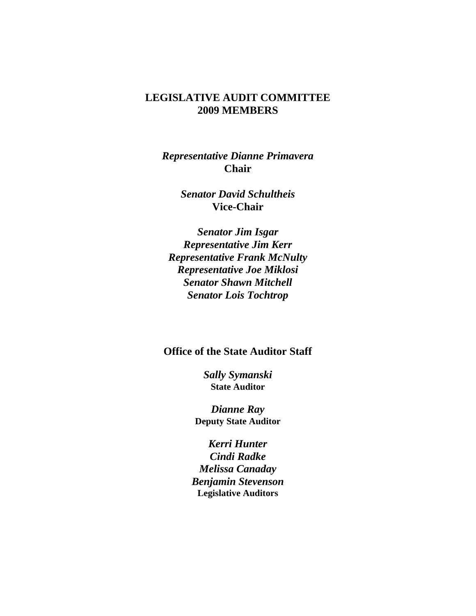### **LEGISLATIVE AUDIT COMMITTEE 2009 MEMBERS**

*Representative Dianne Primavera* **Chair**

> *Senator David Schultheis* **Vice-Chair**

*Senator Jim Isgar Representative Jim Kerr Representative Frank McNulty Representative Joe Miklosi Senator Shawn Mitchell Senator Lois Tochtrop*

#### **Office of the State Auditor Staff**

*Sally Symanski* **State Auditor**

*Dianne Ray* **Deputy State Auditor**

*Kerri Hunter Cindi Radke Melissa Canaday Benjamin Stevenson* **Legislative Auditors**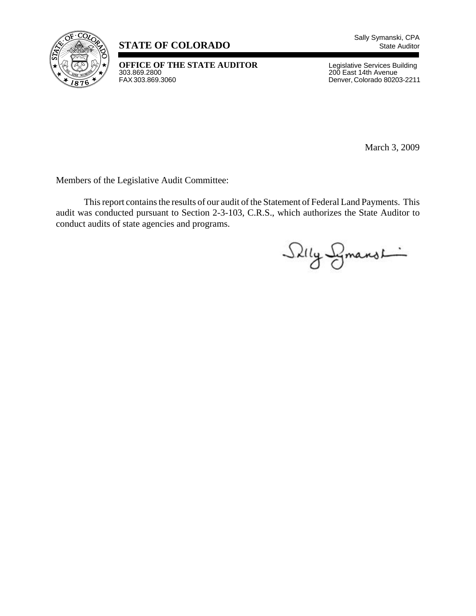

# **STATE OF COLORADO** State Auditor

**OFFICE OF THE STATE AUDITOR** Legislative Services Building<br>
303.869.2800<br>
FAX 303.869.3060<br>
Denver, Colorado 80203-2211

200 East 14th Avenue Denver, Colorado 80203-2211

March 3, 2009

Members of the Legislative Audit Committee:

This report contains the results of our audit of the Statement of Federal Land Payments. This audit was conducted pursuant to Section 2-3-103, C.R.S., which authorizes the State Auditor to conduct audits of state agencies and programs.

Silly Smanshing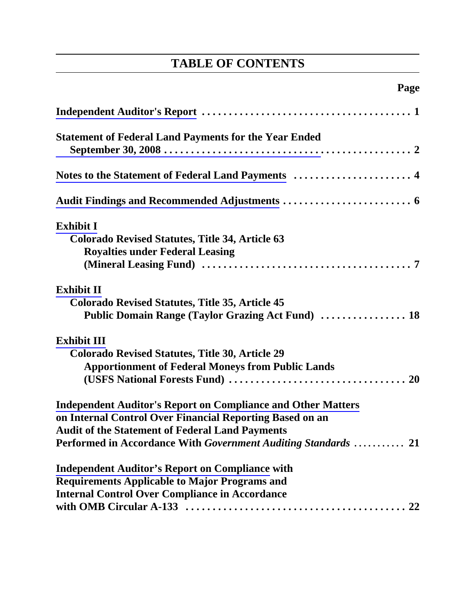# **TABLE OF CONTENTS**

# **Page**

| <b>Statement of Federal Land Payments for the Year Ended</b>        |
|---------------------------------------------------------------------|
|                                                                     |
|                                                                     |
| <b>Exhibit I</b>                                                    |
| <b>Colorado Revised Statutes, Title 34, Article 63</b>              |
| <b>Royalties under Federal Leasing</b>                              |
|                                                                     |
| <b>Exhibit II</b>                                                   |
| <b>Colorado Revised Statutes, Title 35, Article 45</b>              |
| Public Domain Range (Taylor Grazing Act Fund)  18                   |
| <b>Exhibit III</b>                                                  |
| Colorado Revised Statutes, Title 30, Article 29                     |
| <b>Apportionment of Federal Moneys from Public Lands</b>            |
|                                                                     |
| <b>Independent Auditor's Report on Compliance and Other Matters</b> |
| on Internal Control Over Financial Reporting Based on an            |
| <b>Audit of the Statement of Federal Land Payments</b>              |
| Performed in Accordance With Government Auditing Standards  21      |
| <b>Independent Auditor's Report on Compliance with</b>              |
| <b>Requirements Applicable to Major Programs and</b>                |
| <b>Internal Control Over Compliance in Accordance</b>               |
|                                                                     |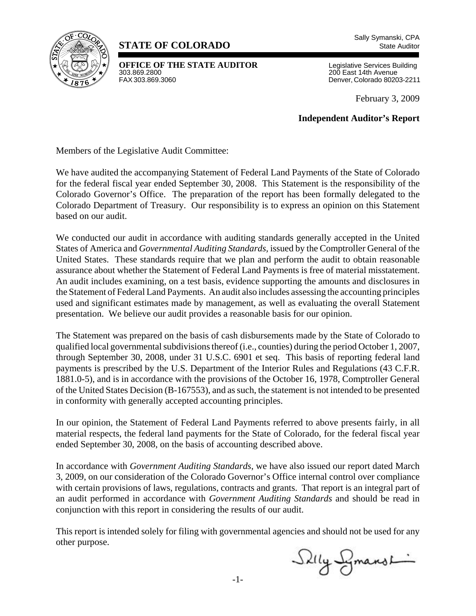<span id="page-4-0"></span>

# **STATE OF COLORADO** State Auditor

**OFFICE OF THE STATE AUDITOR** Legislative Services Building<br>303.869.2800<br>200 East 14th Avenue 303.869.2800 200 East 14th Avenue

Denver, Colorado 80203-2211

February 3, 2009

**Independent Auditor's Report**

Members of the Legislative Audit Committee:

We have audited the accompanying Statement of Federal Land Payments of the State of Colorado for the federal fiscal year ended September 30, 2008. This Statement is the responsibility of the Colorado Governor's Office. The preparation of the report has been formally delegated to the Colorado Department of Treasury. Our responsibility is to express an opinion on this Statement based on our audit.

We conducted our audit in accordance with auditing standards generally accepted in the United States of America and *Governmental Auditing Standards,* issued by the Comptroller General of the United States. These standards require that we plan and perform the audit to obtain reasonable assurance about whether the Statement of Federal Land Payments is free of material misstatement. An audit includes examining, on a test basis, evidence supporting the amounts and disclosures in the Statement of Federal Land Payments. An audit also includes assessing the accounting principles used and significant estimates made by management, as well as evaluating the overall Statement presentation. We believe our audit provides a reasonable basis for our opinion.

The Statement was prepared on the basis of cash disbursements made by the State of Colorado to qualified local governmental subdivisions thereof (i.e., counties) during the period October 1, 2007, through September 30, 2008, under 31 U.S.C. 6901 et seq. This basis of reporting federal land payments is prescribed by the U.S. Department of the Interior Rules and Regulations (43 C.F.R. 1881.0-5), and is in accordance with the provisions of the October 16, 1978, Comptroller General of the United States Decision (B-167553), and as such, the statement is not intended to be presented in conformity with generally accepted accounting principles.

In our opinion, the Statement of Federal Land Payments referred to above presents fairly, in all material respects, the federal land payments for the State of Colorado, for the federal fiscal year ended September 30, 2008, on the basis of accounting described above.

In accordance with *Government Auditing Standards*, we have also issued our report dated March 3, 2009, on our consideration of the Colorado Governor's Office internal control over compliance with certain provisions of laws, regulations, contracts and grants. That report is an integral part of an audit performed in accordance with *Government Auditing Standards* and should be read in conjunction with this report in considering the results of our audit.

This report is intended solely for filing with governmental agencies and should not be used for any other purpose.

Skily Symanshi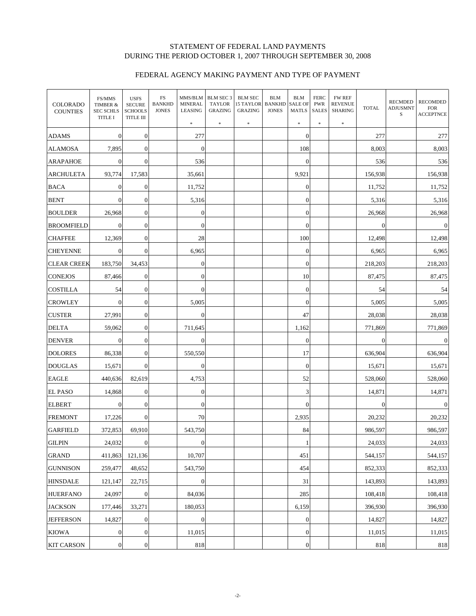#### STATEMENT OF FEDERAL LAND PAYMENTS DURING THE PERIOD OCTOBER 1, 2007 THROUGH SEPTEMBER 30, 2008

#### FEDERAL AGENCY MAKING PAYMENT AND TYPE OF PAYMENT

<span id="page-5-0"></span>

| <b>COLORADO</b><br><b>COUNTIES</b> | FS/MMS<br>TIMBER &<br><b>SEC SCHLS</b><br><b>TITLE I</b> | <b>USFS</b><br><b>SECURE</b><br><b>SCHOOLS</b><br>TITLE III | FS<br><b>BANKHD</b><br><b>JONES</b> | MMS/BLM<br><b>MINERAL</b><br>LEASING<br>$\ast$ | BLM SEC 3<br><b>TAYLOR</b><br><b>GRAZING</b><br>$\ast$ | <b>BLM SEC</b><br>15 TAYLOR<br><b>GRAZING</b><br>$\ast$ | <b>BLM</b><br><b>BANKHD</b><br><b>JONES</b> | <b>BLM</b><br><b>SALE OF</b><br><b>MATLS</b><br>$\pm$ | <b>FERC</b><br><b>PWR</b><br><b>SALES</b><br>$\frac{1}{2}$ | <b>FW REF</b><br><b>REVENUE</b><br>SHARING<br>$\pm$ | <b>TOTAL</b>     | <b>RECMDED</b><br><b>ADJUSMNT</b><br>S | <b>RECOMDED</b><br><b>FOR</b><br><b>ACCEPTNCE</b> |
|------------------------------------|----------------------------------------------------------|-------------------------------------------------------------|-------------------------------------|------------------------------------------------|--------------------------------------------------------|---------------------------------------------------------|---------------------------------------------|-------------------------------------------------------|------------------------------------------------------------|-----------------------------------------------------|------------------|----------------------------------------|---------------------------------------------------|
| <b>ADAMS</b>                       | $\theta$                                                 | $\boldsymbol{0}$                                            |                                     | 277                                            |                                                        |                                                         |                                             | $\overline{0}$                                        |                                                            |                                                     | 277              |                                        | 277                                               |
| <b>ALAMOSA</b>                     | 7,895                                                    | $\overline{0}$                                              |                                     | $\boldsymbol{0}$                               |                                                        |                                                         |                                             | 108                                                   |                                                            |                                                     | 8,003            |                                        | 8,003                                             |
| <b>ARAPAHOE</b>                    | $\theta$                                                 | $\mathbf{0}$                                                |                                     | 536                                            |                                                        |                                                         |                                             | $\mathbf{0}$                                          |                                                            |                                                     | 536              |                                        | 536                                               |
| <b>ARCHULETA</b>                   | 93,774                                                   | 17,583                                                      |                                     | 35,661                                         |                                                        |                                                         |                                             | 9,921                                                 |                                                            |                                                     | 156,938          |                                        | 156,938                                           |
| <b>BACA</b>                        | $\theta$                                                 | $\mathbf{0}$                                                |                                     | 11,752                                         |                                                        |                                                         |                                             | $\mathbf{0}$                                          |                                                            |                                                     | 11,752           |                                        | 11,752                                            |
| <b>BENT</b>                        | $\Omega$                                                 | $\mathbf{0}$                                                |                                     | 5,316                                          |                                                        |                                                         |                                             | $\mathbf{0}$                                          |                                                            |                                                     | 5,316            |                                        | 5,316                                             |
| <b>BOULDER</b>                     | 26,968                                                   | $\mathbf{0}$                                                |                                     | $\boldsymbol{0}$                               |                                                        |                                                         |                                             | $\mathbf{0}$                                          |                                                            |                                                     | 26,968           |                                        | 26,968                                            |
| <b>BROOMFIELD</b>                  | $\Omega$                                                 | $\mathbf{0}$                                                |                                     | $\boldsymbol{0}$                               |                                                        |                                                         |                                             | $\mathbf{0}$                                          |                                                            |                                                     | $\theta$         |                                        | $\mathbf{0}$                                      |
| <b>CHAFFEE</b>                     | 12,369                                                   | $\mathbf{0}$                                                |                                     | 28                                             |                                                        |                                                         |                                             | 100                                                   |                                                            |                                                     | 12,498           |                                        | 12,498                                            |
| <b>CHEYENNE</b>                    | $\Omega$                                                 | $\mathbf{0}$                                                |                                     | 6,965                                          |                                                        |                                                         |                                             | $\mathbf{0}$                                          |                                                            |                                                     | 6,965            |                                        | 6,965                                             |
| <b>CLEAR CREEK</b>                 | 183,750                                                  | 34,453                                                      |                                     | $\boldsymbol{0}$                               |                                                        |                                                         |                                             | $\mathbf{0}$                                          |                                                            |                                                     | 218,203          |                                        | 218,203                                           |
| <b>CONEJOS</b>                     | 87,466                                                   | $\mathbf{0}$                                                |                                     | $\boldsymbol{0}$                               |                                                        |                                                         |                                             | 10                                                    |                                                            |                                                     | 87,475           |                                        | 87,475                                            |
| <b>COSTILLA</b>                    | 54                                                       | $\mathbf{0}$                                                |                                     | $\boldsymbol{0}$                               |                                                        |                                                         |                                             | $\mathbf{0}$                                          |                                                            |                                                     | 54               |                                        | 54                                                |
| <b>CROWLEY</b>                     | $\theta$                                                 | $\mathbf{0}$                                                |                                     | 5,005                                          |                                                        |                                                         |                                             | $\mathbf{0}$                                          |                                                            |                                                     | 5,005            |                                        | 5,005                                             |
| <b>CUSTER</b>                      | 27,991                                                   | $\mathbf{0}$                                                |                                     | $\boldsymbol{0}$                               |                                                        |                                                         |                                             | 47                                                    |                                                            |                                                     | 28,038           |                                        | 28,038                                            |
| <b>DELTA</b>                       | 59,062                                                   | $\mathbf{0}$                                                |                                     | 711,645                                        |                                                        |                                                         |                                             | 1,162                                                 |                                                            |                                                     | 771,869          |                                        | 771,869                                           |
| <b>DENVER</b>                      | $\theta$                                                 | $\mathbf{0}$                                                |                                     | $\boldsymbol{0}$                               |                                                        |                                                         |                                             | $\mathbf{0}$                                          |                                                            |                                                     | $\boldsymbol{0}$ |                                        | $\mathbf{0}$                                      |
| <b>DOLORES</b>                     | 86,338                                                   | $\mathbf{0}$                                                |                                     | 550,550                                        |                                                        |                                                         |                                             | 17                                                    |                                                            |                                                     | 636,904          |                                        | 636,904                                           |
| <b>DOUGLAS</b>                     | 15,671                                                   | $\mathbf{0}$                                                |                                     | $\boldsymbol{0}$                               |                                                        |                                                         |                                             | $\boldsymbol{0}$                                      |                                                            |                                                     | 15,671           |                                        | 15,671                                            |
| <b>EAGLE</b>                       | 440,636                                                  | 82,619                                                      |                                     | 4,753                                          |                                                        |                                                         |                                             | 52                                                    |                                                            |                                                     | 528,060          |                                        | 528,060                                           |
| <b>EL PASO</b>                     | 14,868                                                   | $\mathbf{0}$                                                |                                     | $\boldsymbol{0}$                               |                                                        |                                                         |                                             | $\mathfrak{Z}$                                        |                                                            |                                                     | 14,871           |                                        | 14,871                                            |
| <b>ELBERT</b>                      | $\mathbf{0}$                                             | $\mathbf{0}$                                                |                                     | $\boldsymbol{0}$                               |                                                        |                                                         |                                             | $\overline{0}$                                        |                                                            |                                                     | $\boldsymbol{0}$ |                                        | $\mathbf{0}$                                      |
| <b>FREMONT</b>                     | 17,226                                                   | $\boldsymbol{0}$                                            |                                     | 70                                             |                                                        |                                                         |                                             | 2,935                                                 |                                                            |                                                     | 20,232           |                                        | 20,232                                            |
| <b>GARFIELD</b>                    | 372,853                                                  | 69,910                                                      |                                     | 543,750                                        |                                                        |                                                         |                                             | 84                                                    |                                                            |                                                     | 986,597          |                                        | 986,597                                           |
| <b>GILPIN</b>                      | 24,032                                                   | $\boldsymbol{0}$                                            |                                     | $\boldsymbol{0}$                               |                                                        |                                                         |                                             | $\mathbf{1}$                                          |                                                            |                                                     | 24,033           |                                        | 24,033                                            |
| <b>GRAND</b>                       | 411,863                                                  | 121,136                                                     |                                     | 10,707                                         |                                                        |                                                         |                                             | 451                                                   |                                                            |                                                     | 544,157          |                                        | 544,157                                           |
| <b>GUNNISON</b>                    | 259,477                                                  | 48,652                                                      |                                     | 543,750                                        |                                                        |                                                         |                                             | 454                                                   |                                                            |                                                     | 852,333          |                                        | 852,333                                           |
| <b>HINSDALE</b>                    | 121,147                                                  | 22,715                                                      |                                     | $\boldsymbol{0}$                               |                                                        |                                                         |                                             | 31                                                    |                                                            |                                                     | 143,893          |                                        | 143,893                                           |
| <b>HUERFANO</b>                    | 24,097                                                   | $\mathbf{0}$                                                |                                     | 84,036                                         |                                                        |                                                         |                                             | 285                                                   |                                                            |                                                     | 108,418          |                                        | 108,418                                           |
| <b>JACKSON</b>                     | 177,446                                                  | 33,271                                                      |                                     | 180,053                                        |                                                        |                                                         |                                             | 6,159                                                 |                                                            |                                                     | 396,930          |                                        | 396,930                                           |
| <b>JEFFERSON</b>                   | 14,827                                                   | $\mathbf{0}$                                                |                                     | $\overline{0}$                                 |                                                        |                                                         |                                             | $\mathbf{0}$                                          |                                                            |                                                     | 14,827           |                                        | 14,827                                            |
| <b>KIOWA</b>                       | $\boldsymbol{0}$                                         | $\boldsymbol{0}$                                            |                                     | 11,015                                         |                                                        |                                                         |                                             | $\boldsymbol{0}$                                      |                                                            |                                                     | 11,015           |                                        | 11,015                                            |
| <b>KIT CARSON</b>                  | $\mathbf{0}$                                             | $\boldsymbol{0}$                                            |                                     | 818                                            |                                                        |                                                         |                                             | $\boldsymbol{0}$                                      |                                                            |                                                     | 818              |                                        | 818                                               |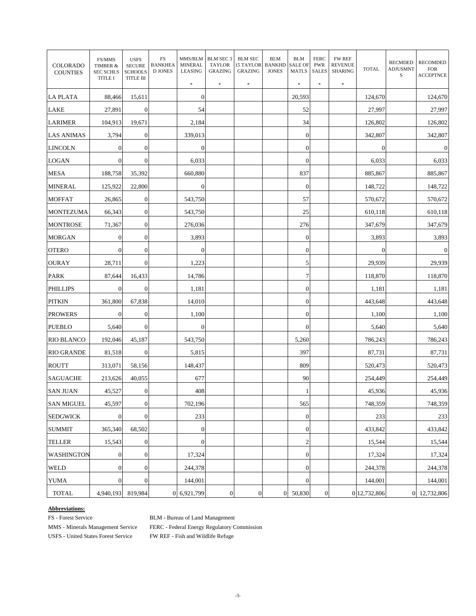| COLORADO<br><b>COUNTIES</b> | FS/MMS<br>TIMBER &<br><b>SEC SCHLS</b><br><b>TITLE I</b> | <b>USFS</b><br><b>SECURE</b><br><b>SCHOOLS</b><br>TITLE III | $_{\rm FS}$<br><b>BANKHEA</b><br><b>D JONES</b> | MMS/BLM<br><b>MINERAL</b><br><b>LEASING</b><br>$\ast$ | BLM SEC 3<br><b>TAYLOR</b><br><b>GRAZING</b><br>$\ast$ | <b>BLM SEC</b><br>15 TAYLOR<br><b>GRAZING</b><br>\$ | <b>BLM</b><br><b>BANKHD</b><br><b>JONES</b> | <b>BLM</b><br><b>SALE OF</b><br><b>MATLS</b><br>$\frac{1}{2}$ | <b>FERC</b><br><b>PWR</b><br><b>SALES</b><br>$\frac{1}{2}$ | <b>FW REF</b><br><b>REVENUE</b><br><b>SHARING</b><br>\$ | <b>TOTAL</b>   | <b>RECMDED</b><br><b>ADJUSMNT</b><br>S | RECOMDED<br><b>FOR</b><br><b>ACCEPTNCE</b> |
|-----------------------------|----------------------------------------------------------|-------------------------------------------------------------|-------------------------------------------------|-------------------------------------------------------|--------------------------------------------------------|-----------------------------------------------------|---------------------------------------------|---------------------------------------------------------------|------------------------------------------------------------|---------------------------------------------------------|----------------|----------------------------------------|--------------------------------------------|
| <b>LA PLATA</b>             | 88.466                                                   | 15,611                                                      |                                                 | $\boldsymbol{0}$                                      |                                                        |                                                     |                                             | 20,593                                                        |                                                            |                                                         | 124,670        |                                        | 124,670                                    |
| <b>LAKE</b>                 | 27,891                                                   | $\boldsymbol{0}$                                            |                                                 | 54                                                    |                                                        |                                                     |                                             | 52                                                            |                                                            |                                                         | 27,997         |                                        | 27,997                                     |
| <b>LARIMER</b>              | 104,913                                                  | 19,671                                                      |                                                 | 2,184                                                 |                                                        |                                                     |                                             | 34                                                            |                                                            |                                                         | 126,802        |                                        | 126,802                                    |
| <b>LAS ANIMAS</b>           | 3,794                                                    | $\boldsymbol{0}$                                            |                                                 | 339,013                                               |                                                        |                                                     |                                             | $\boldsymbol{0}$                                              |                                                            |                                                         | 342,807        |                                        | 342,807                                    |
| <b>LINCOLN</b>              | $\boldsymbol{0}$                                         | $\boldsymbol{0}$                                            |                                                 | $\boldsymbol{0}$                                      |                                                        |                                                     |                                             | $\boldsymbol{0}$                                              |                                                            |                                                         | $\overline{0}$ |                                        | $\boldsymbol{0}$                           |
| <b>LOGAN</b>                | $\boldsymbol{0}$                                         | $\boldsymbol{0}$                                            |                                                 | 6,033                                                 |                                                        |                                                     |                                             | $\boldsymbol{0}$                                              |                                                            |                                                         | 6,033          |                                        | 6,033                                      |
| MESA                        | 188,758                                                  | 35,392                                                      |                                                 | 660,880                                               |                                                        |                                                     |                                             | 837                                                           |                                                            |                                                         | 885,867        |                                        | 885,867                                    |
| <b>MINERAL</b>              | 125,922                                                  | 22,800                                                      |                                                 | $\boldsymbol{0}$                                      |                                                        |                                                     |                                             | $\mathbf{0}$                                                  |                                                            |                                                         | 148,722        |                                        | 148,722                                    |
| <b>MOFFAT</b>               | 26,865                                                   | $\mathbf{0}$                                                |                                                 | 543,750                                               |                                                        |                                                     |                                             | 57                                                            |                                                            |                                                         | 570,672        |                                        | 570,672                                    |
| <b>MONTEZUMA</b>            | 66,343                                                   | $\boldsymbol{0}$                                            |                                                 | 543,750                                               |                                                        |                                                     |                                             | 25                                                            |                                                            |                                                         | 610.118        |                                        | 610,118                                    |
| <b>MONTROSE</b>             | 71,367                                                   | $\boldsymbol{0}$                                            |                                                 | 276,036                                               |                                                        |                                                     |                                             | 276                                                           |                                                            |                                                         | 347,679        |                                        | 347,679                                    |
| <b>MORGAN</b>               | $\boldsymbol{0}$                                         | $\boldsymbol{0}$                                            |                                                 | 3,893                                                 |                                                        |                                                     |                                             | $\boldsymbol{0}$                                              |                                                            |                                                         | 3,893          |                                        | 3,893                                      |
| <b>OTERO</b>                | $\mathbf{0}$                                             | $\boldsymbol{0}$                                            |                                                 | $\boldsymbol{0}$                                      |                                                        |                                                     |                                             | $\overline{0}$                                                |                                                            |                                                         | $\Omega$       |                                        | $\boldsymbol{0}$                           |
| <b>OURAY</b>                | 28,711                                                   | $\boldsymbol{0}$                                            |                                                 | 1,223                                                 |                                                        |                                                     |                                             | 5                                                             |                                                            |                                                         | 29,939         |                                        | 29,939                                     |
| <b>PARK</b>                 | 87,644                                                   | 16,433                                                      |                                                 | 14,786                                                |                                                        |                                                     |                                             | $\tau$                                                        |                                                            |                                                         | 118,870        |                                        | 118,870                                    |
| <b>PHILLIPS</b>             | $\mathbf{0}$                                             | $\boldsymbol{0}$                                            |                                                 | 1,181                                                 |                                                        |                                                     |                                             | $\boldsymbol{0}$                                              |                                                            |                                                         | 1,181          |                                        | 1,181                                      |
| <b>PITKIN</b>               | 361,800                                                  | 67,838                                                      |                                                 | 14,010                                                |                                                        |                                                     |                                             | $\boldsymbol{0}$                                              |                                                            |                                                         | 443,648        |                                        | 443,648                                    |
| <b>PROWERS</b>              | $\mathbf{0}$                                             | $\boldsymbol{0}$                                            |                                                 | 1,100                                                 |                                                        |                                                     |                                             | $\boldsymbol{0}$                                              |                                                            |                                                         | 1,100          |                                        | 1,100                                      |
| <b>PUEBLO</b>               | 5,640                                                    | $\boldsymbol{0}$                                            |                                                 | $\boldsymbol{0}$                                      |                                                        |                                                     |                                             | $\boldsymbol{0}$                                              |                                                            |                                                         | 5,640          |                                        | 5,640                                      |
| <b>RIO BLANCO</b>           | 192,046                                                  | 45,187                                                      |                                                 | 543,750                                               |                                                        |                                                     |                                             | 5,260                                                         |                                                            |                                                         | 786,243        |                                        | 786,243                                    |
| <b>RIO GRANDE</b>           | 81,518                                                   | $\boldsymbol{0}$                                            |                                                 | 5,815                                                 |                                                        |                                                     |                                             | 397                                                           |                                                            |                                                         | 87,731         |                                        | 87,731                                     |
| <b>ROUTT</b>                | 313,071                                                  | 58.156                                                      |                                                 | 148,437                                               |                                                        |                                                     |                                             | 809                                                           |                                                            |                                                         | 520,473        |                                        | 520,473                                    |
| <b>SAGUACHE</b>             | 213,626                                                  | 40,055                                                      |                                                 | 677                                                   |                                                        |                                                     |                                             | 90                                                            |                                                            |                                                         | 254,449        |                                        | 254,449                                    |
| <b>SAN JUAN</b>             | 45,527                                                   | $\mathbf{0}$                                                |                                                 | 408                                                   |                                                        |                                                     |                                             | 1                                                             |                                                            |                                                         | 45,936         |                                        | 45,936                                     |
| <b>SAN MIGUEL</b>           | 45,597                                                   | $\boldsymbol{0}$                                            |                                                 | 702,196                                               |                                                        |                                                     |                                             | 565                                                           |                                                            |                                                         | 748,359        |                                        | 748,359                                    |
| <b>SEDGWICK</b>             | $\boldsymbol{0}$                                         | $\mathbf{0}$                                                |                                                 | 233                                                   |                                                        |                                                     |                                             | $\boldsymbol{0}$                                              |                                                            |                                                         | 233            |                                        | 233                                        |
| <b>SUMMIT</b>               | 365,340                                                  | 68,502                                                      |                                                 | $\boldsymbol{0}$                                      |                                                        |                                                     |                                             | $\boldsymbol{0}$                                              |                                                            |                                                         | 433,842        |                                        | 433,842                                    |
| <b>TELLER</b>               | 15,543                                                   | $\boldsymbol{0}$                                            |                                                 | $\boldsymbol{0}$                                      |                                                        |                                                     |                                             | $\overline{c}$                                                |                                                            |                                                         | 15,544         |                                        | 15,544                                     |
| WASHINGTON                  | $\boldsymbol{0}$                                         | $\boldsymbol{0}$                                            |                                                 | 17,324                                                |                                                        |                                                     |                                             | $\boldsymbol{0}$                                              |                                                            |                                                         | 17,324         |                                        | 17,324                                     |
| WELD                        | $\boldsymbol{0}$                                         | $\boldsymbol{0}$                                            |                                                 | 244,378                                               |                                                        |                                                     |                                             | $\boldsymbol{0}$                                              |                                                            |                                                         | 244,378        |                                        | 244,378                                    |
| <b>YUMA</b>                 | $\boldsymbol{0}$                                         | $\boldsymbol{0}$                                            |                                                 | 144,001                                               |                                                        |                                                     |                                             | $\boldsymbol{0}$                                              |                                                            |                                                         | 144,001        |                                        | 144,001                                    |
| <b>TOTAL</b>                | 4,940,193                                                | 819,984                                                     |                                                 | 0 6,921,799                                           | $\mathbf{0}$                                           | $\boldsymbol{0}$                                    |                                             | 0 50,830                                                      | $\boldsymbol{0}$                                           |                                                         | 0 12,732,806   |                                        | 0 12,732,806                               |

#### **Abbreviations:**

FS - Forest Service BLM - Bureau of Land Management

MMS - Minerals Management Service FERC - Federal Energy Regulatory Commission USFS - United States Forest Service FW REF - Fish and Wildlife Refuge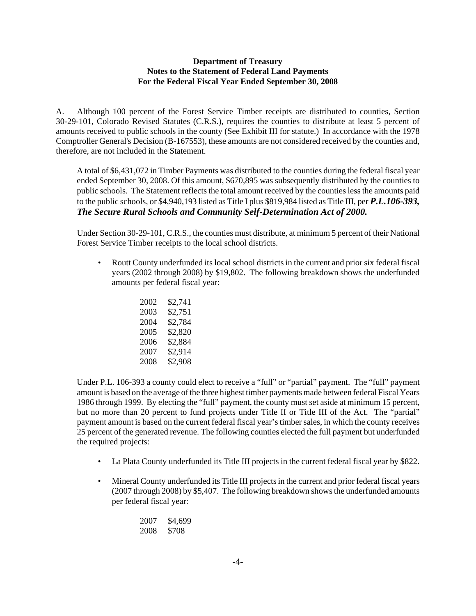#### **Department of Treasury Notes to the Statement of Federal Land Payments For the Federal Fiscal Year Ended September 30, 2008**

<span id="page-7-0"></span>A. Although 100 percent of the Forest Service Timber receipts are distributed to counties, Section 30-29-101, Colorado Revised Statutes (C.R.S.), requires the counties to distribute at least 5 percent of amounts received to public schools in the county (See Exhibit III for statute.) In accordance with the 1978 Comptroller General's Decision (B-167553), these amounts are not considered received by the counties and, therefore, are not included in the Statement.

A total of \$6,431,072 in Timber Payments was distributed to the counties during the federal fiscal year ended September 30, 2008. Of this amount, \$670,895 was subsequently distributed by the counties to public schools. The Statement reflects the total amount received by the counties less the amounts paid to the public schools, or \$4,940,193 listed as Title I plus \$819,984 listed as Title III, per *P.L.106-393, The Secure Rural Schools and Community Self-Determination Act of 2000.* 

Under Section 30-29-101, C.R.S., the counties must distribute, at minimum 5 percent of their National Forest Service Timber receipts to the local school districts.

• Routt County underfunded its local school districts in the current and prior six federal fiscal years (2002 through 2008) by \$19,802. The following breakdown shows the underfunded amounts per federal fiscal year:

| 2002 | \$2,741 |
|------|---------|
| 2003 | \$2,751 |
| 2004 | \$2.784 |
| 2005 | \$2.820 |
| 2006 | \$2,884 |
| 2007 | \$2.914 |
| 2008 | \$2,908 |

Under P.L. 106-393 a county could elect to receive a "full" or "partial" payment. The "full" payment amount is based on the average of the three highest timber payments made between federal Fiscal Years 1986 through 1999. By electing the "full" payment, the county must set aside at minimum 15 percent, but no more than 20 percent to fund projects under Title II or Title III of the Act. The "partial" payment amount is based on the current federal fiscal year's timber sales, in which the county receives 25 percent of the generated revenue. The following counties elected the full payment but underfunded the required projects:

- La Plata County underfunded its Title III projects in the current federal fiscal year by \$822.
- Mineral County underfunded its Title III projects in the current and prior federal fiscal years (2007 through 2008) by \$5,407. The following breakdown shows the underfunded amounts per federal fiscal year:

| 2007 | \$4,699 |
|------|---------|
| 2008 | \$708   |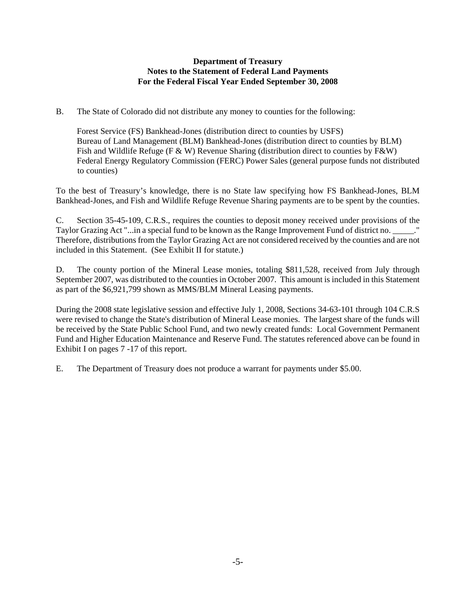#### **Department of Treasury Notes to the Statement of Federal Land Payments For the Federal Fiscal Year Ended September 30, 2008**

B. The State of Colorado did not distribute any money to counties for the following:

Forest Service (FS) Bankhead-Jones (distribution direct to counties by USFS) Bureau of Land Management (BLM) Bankhead-Jones (distribution direct to counties by BLM) Fish and Wildlife Refuge (F & W) Revenue Sharing (distribution direct to counties by F&W) Federal Energy Regulatory Commission (FERC) Power Sales (general purpose funds not distributed to counties)

To the best of Treasury's knowledge, there is no State law specifying how FS Bankhead-Jones, BLM Bankhead-Jones, and Fish and Wildlife Refuge Revenue Sharing payments are to be spent by the counties.

C. Section 35-45-109, C.R.S., requires the counties to deposit money received under provisions of the Taylor Grazing Act "...in a special fund to be known as the Range Improvement Fund of district no. \_\_\_\_\_." Therefore, distributions from the Taylor Grazing Act are not considered received by the counties and are not included in this Statement. (See Exhibit II for statute.)

D. The county portion of the Mineral Lease monies, totaling \$811,528, received from July through September 2007, was distributed to the counties in October 2007. This amount is included in this Statement as part of the \$6,921,799 shown as MMS/BLM Mineral Leasing payments.

During the 2008 state legislative session and effective July 1, 2008, Sections 34-63-101 through 104 C.R.S were revised to change the State's distribution of Mineral Lease monies. The largest share of the funds will be received by the State Public School Fund, and two newly created funds: Local Government Permanent Fund and Higher Education Maintenance and Reserve Fund. The statutes referenced above can be found in Exhibit I on pages 7 -17 of this report.

E. The Department of Treasury does not produce a warrant for payments under \$5.00.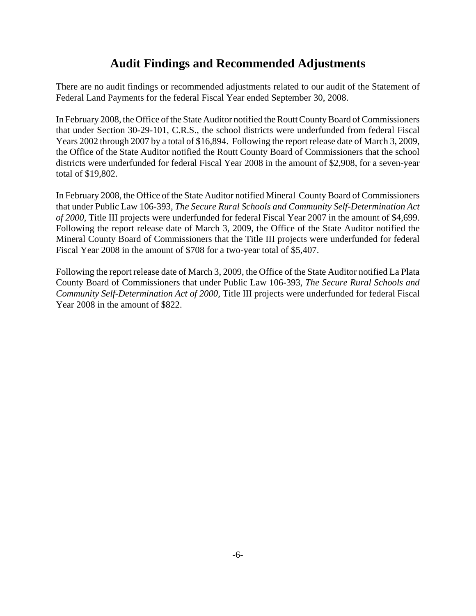# **Audit Findings and Recommended Adjustments**

<span id="page-9-0"></span>There are no audit findings or recommended adjustments related to our audit of the Statement of Federal Land Payments for the federal Fiscal Year ended September 30, 2008.

In February 2008, the Office of the State Auditor notified the Routt County Board of Commissioners that under Section 30-29-101, C.R.S., the school districts were underfunded from federal Fiscal Years 2002 through 2007 by a total of \$16,894. Following the report release date of March 3, 2009, the Office of the State Auditor notified the Routt County Board of Commissioners that the school districts were underfunded for federal Fiscal Year 2008 in the amount of \$2,908, for a seven-year total of \$19,802.

In February 2008, the Office of the State Auditor notified Mineral County Board of Commissioners that under Public Law 106-393, *The Secure Rural Schools and Community Self-Determination Act of 2000*, Title III projects were underfunded for federal Fiscal Year 2007 in the amount of \$4,699. Following the report release date of March 3, 2009, the Office of the State Auditor notified the Mineral County Board of Commissioners that the Title III projects were underfunded for federal Fiscal Year 2008 in the amount of \$708 for a two-year total of \$5,407.

Following the report release date of March 3, 2009, the Office of the State Auditor notified La Plata County Board of Commissioners that under Public Law 106-393, *The Secure Rural Schools and Community Self-Determination Act of 2000*, Title III projects were underfunded for federal Fiscal Year 2008 in the amount of \$822.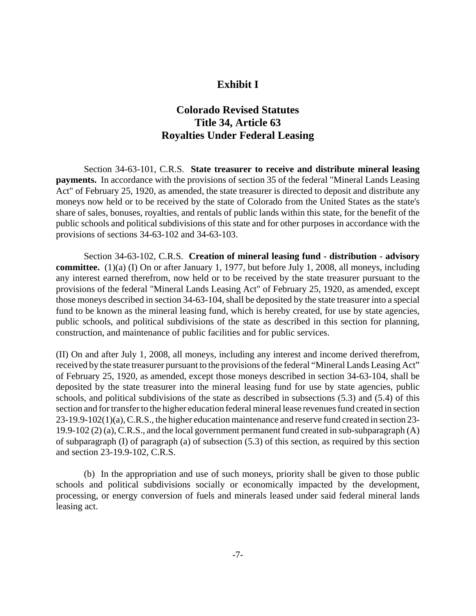#### **Exhibit I**

### **Colorado Revised Statutes Title 34, Article 63 Royalties Under Federal Leasing**

<span id="page-10-0"></span>Section 34-63-101, C.R.S. **State treasurer to receive and distribute mineral leasing payments.** In accordance with the provisions of section 35 of the federal "Mineral Lands Leasing Act" of February 25, 1920, as amended, the state treasurer is directed to deposit and distribute any moneys now held or to be received by the state of Colorado from the United States as the state's share of sales, bonuses, royalties, and rentals of public lands within this state, for the benefit of the public schools and political subdivisions of this state and for other purposes in accordance with the provisions of sections 34-63-102 and 34-63-103.

Section 34-63-102, C.R.S. **Creation of mineral leasing fund - distribution - advisory committee.** (1)(a) (I) On or after January 1, 1977, but before July 1, 2008, all moneys, including any interest earned therefrom, now held or to be received by the state treasurer pursuant to the provisions of the federal "Mineral Lands Leasing Act" of February 25, 1920, as amended, except those moneys described in section 34-63-104, shall be deposited by the state treasurer into a special fund to be known as the mineral leasing fund, which is hereby created, for use by state agencies, public schools, and political subdivisions of the state as described in this section for planning, construction, and maintenance of public facilities and for public services.

(II) On and after July 1, 2008, all moneys, including any interest and income derived therefrom, received by the state treasurer pursuant to the provisions of the federal "Mineral Lands Leasing Act" of February 25, 1920, as amended, except those moneys described in section 34-63-104, shall be deposited by the state treasurer into the mineral leasing fund for use by state agencies, public schools, and political subdivisions of the state as described in subsections (5.3) and (5.4) of this section and for transfer to the higher education federal mineral lease revenues fund created in section 23-19.9-102(1)(a), C.R.S., the higher education maintenance and reserve fund created in section 23- 19.9-102 (2) (a), C.R.S., and the local government permanent fund created in sub-subparagraph (A) of subparagraph (I) of paragraph (a) of subsection (5.3) of this section, as required by this section and section 23-19.9-102, C.R.S.

(b) In the appropriation and use of such moneys, priority shall be given to those public schools and political subdivisions socially or economically impacted by the development, processing, or energy conversion of fuels and minerals leased under said federal mineral lands leasing act.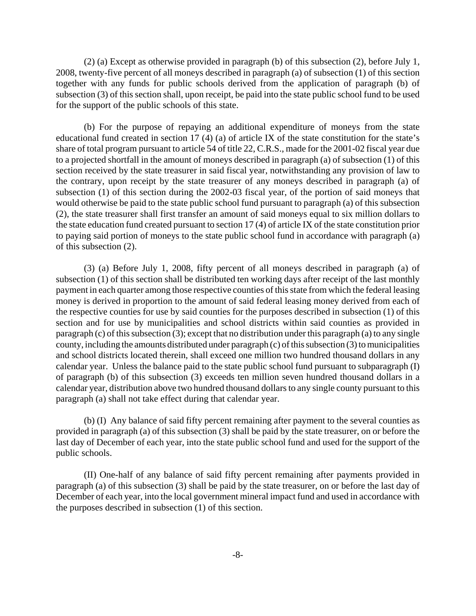(2) (a) Except as otherwise provided in paragraph (b) of this subsection (2), before July 1, 2008, twenty-five percent of all moneys described in paragraph (a) of subsection (1) of this section together with any funds for public schools derived from the application of paragraph (b) of subsection (3) of this section shall, upon receipt, be paid into the state public school fund to be used for the support of the public schools of this state.

(b) For the purpose of repaying an additional expenditure of moneys from the state educational fund created in section 17 (4) (a) of article IX of the state constitution for the state's share of total program pursuant to article 54 of title 22, C.R.S., made for the 2001-02 fiscal year due to a projected shortfall in the amount of moneys described in paragraph (a) of subsection (1) of this section received by the state treasurer in said fiscal year, notwithstanding any provision of law to the contrary, upon receipt by the state treasurer of any moneys described in paragraph (a) of subsection (1) of this section during the 2002-03 fiscal year, of the portion of said moneys that would otherwise be paid to the state public school fund pursuant to paragraph (a) of this subsection (2), the state treasurer shall first transfer an amount of said moneys equal to six million dollars to the state education fund created pursuant to section 17 (4) of article IX of the state constitution prior to paying said portion of moneys to the state public school fund in accordance with paragraph (a) of this subsection (2).

(3) (a) Before July 1, 2008, fifty percent of all moneys described in paragraph (a) of subsection (1) of this section shall be distributed ten working days after receipt of the last monthly payment in each quarter among those respective counties of this state from which the federal leasing money is derived in proportion to the amount of said federal leasing money derived from each of the respective counties for use by said counties for the purposes described in subsection (1) of this section and for use by municipalities and school districts within said counties as provided in paragraph (c) of this subsection (3); except that no distribution under this paragraph (a) to any single county, including the amounts distributed under paragraph (c) of this subsection (3) to municipalities and school districts located therein, shall exceed one million two hundred thousand dollars in any calendar year. Unless the balance paid to the state public school fund pursuant to subparagraph (I) of paragraph (b) of this subsection (3) exceeds ten million seven hundred thousand dollars in a calendar year, distribution above two hundred thousand dollars to any single county pursuant to this paragraph (a) shall not take effect during that calendar year.

(b) (I) Any balance of said fifty percent remaining after payment to the several counties as provided in paragraph (a) of this subsection (3) shall be paid by the state treasurer, on or before the last day of December of each year, into the state public school fund and used for the support of the public schools.

(II) One-half of any balance of said fifty percent remaining after payments provided in paragraph (a) of this subsection (3) shall be paid by the state treasurer, on or before the last day of December of each year, into the local government mineral impact fund and used in accordance with the purposes described in subsection (1) of this section.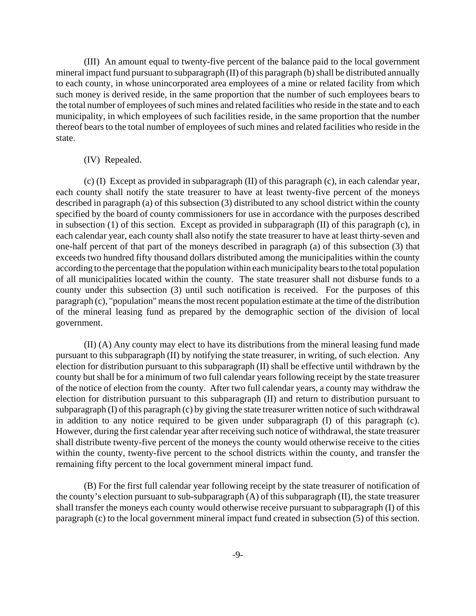(III) An amount equal to twenty-five percent of the balance paid to the local government mineral impact fund pursuant to subparagraph (II) of this paragraph (b) shall be distributed annually to each county, in whose unincorporated area employees of a mine or related facility from which such money is derived reside, in the same proportion that the number of such employees bears to the total number of employees of such mines and related facilities who reside in the state and to each municipality, in which employees of such facilities reside, in the same proportion that the number thereof bears to the total number of employees of such mines and related facilities who reside in the state.

#### (IV) Repealed.

(c) (I) Except as provided in subparagraph (II) of this paragraph (c), in each calendar year, each county shall notify the state treasurer to have at least twenty-five percent of the moneys described in paragraph (a) of this subsection (3) distributed to any school district within the county specified by the board of county commissioners for use in accordance with the purposes described in subsection (1) of this section. Except as provided in subparagraph (II) of this paragraph (c), in each calendar year, each county shall also notify the state treasurer to have at least thirty-seven and one-half percent of that part of the moneys described in paragraph (a) of this subsection (3) that exceeds two hundred fifty thousand dollars distributed among the municipalities within the county according to the percentage that the population within each municipality bears to the total population of all municipalities located within the county. The state treasurer shall not disburse funds to a county under this subsection (3) until such notification is received. For the purposes of this paragraph (c), "population" means the most recent population estimate at the time of the distribution of the mineral leasing fund as prepared by the demographic section of the division of local government.

(II) (A) Any county may elect to have its distributions from the mineral leasing fund made pursuant to this subparagraph (II) by notifying the state treasurer, in writing, of such election. Any election for distribution pursuant to this subparagraph (II) shall be effective until withdrawn by the county but shall be for a minimum of two full calendar years following receipt by the state treasurer of the notice of election from the county. After two full calendar years, a county may withdraw the election for distribution pursuant to this subparagraph (II) and return to distribution pursuant to subparagraph (I) of this paragraph (c) by giving the state treasurer written notice of such withdrawal in addition to any notice required to be given under subparagraph (I) of this paragraph (c). However, during the first calendar year after receiving such notice of withdrawal, the state treasurer shall distribute twenty-five percent of the moneys the county would otherwise receive to the cities within the county, twenty-five percent to the school districts within the county, and transfer the remaining fifty percent to the local government mineral impact fund.

(B) For the first full calendar year following receipt by the state treasurer of notification of the county's election pursuant to sub-subparagraph (A) of this subparagraph (II), the state treasurer shall transfer the moneys each county would otherwise receive pursuant to subparagraph (I) of this paragraph (c) to the local government mineral impact fund created in subsection (5) of this section.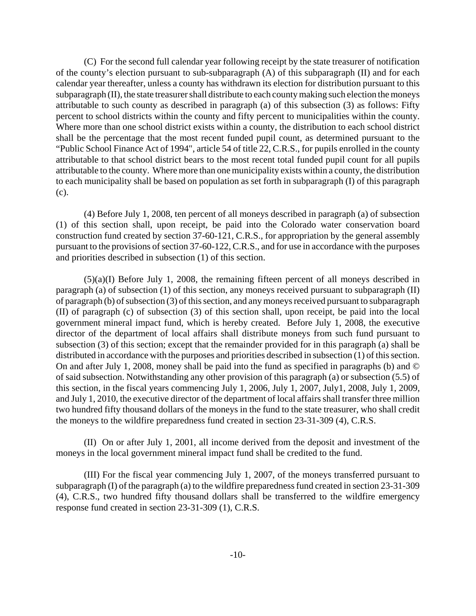(C) For the second full calendar year following receipt by the state treasurer of notification of the county's election pursuant to sub-subparagraph (A) of this subparagraph (II) and for each calendar year thereafter, unless a county has withdrawn its election for distribution pursuant to this subparagraph (II), the state treasurer shall distribute to each county making such election the moneys attributable to such county as described in paragraph (a) of this subsection (3) as follows: Fifty percent to school districts within the county and fifty percent to municipalities within the county. Where more than one school district exists within a county, the distribution to each school district shall be the percentage that the most recent funded pupil count, as determined pursuant to the "Public School Finance Act of 1994", article 54 of title 22, C.R.S., for pupils enrolled in the county attributable to that school district bears to the most recent total funded pupil count for all pupils attributable to the county. Where more than one municipality exists within a county, the distribution to each municipality shall be based on population as set forth in subparagraph (I) of this paragraph (c).

(4) Before July 1, 2008, ten percent of all moneys described in paragraph (a) of subsection (1) of this section shall, upon receipt, be paid into the Colorado water conservation board construction fund created by section 37-60-121, C.R.S., for appropriation by the general assembly pursuant to the provisions of section 37-60-122, C.R.S., and for use in accordance with the purposes and priorities described in subsection (1) of this section.

(5)(a)(I) Before July 1, 2008, the remaining fifteen percent of all moneys described in paragraph (a) of subsection (1) of this section, any moneys received pursuant to subparagraph (II) of paragraph (b) of subsection (3) of this section, and any moneys received pursuant to subparagraph (II) of paragraph (c) of subsection (3) of this section shall, upon receipt, be paid into the local government mineral impact fund, which is hereby created. Before July 1, 2008, the executive director of the department of local affairs shall distribute moneys from such fund pursuant to subsection (3) of this section; except that the remainder provided for in this paragraph (a) shall be distributed in accordance with the purposes and priorities described in subsection (1) of this section. On and after July 1, 2008, money shall be paid into the fund as specified in paragraphs (b) and © of said subsection. Notwithstanding any other provision of this paragraph (a) or subsection (5.5) of this section, in the fiscal years commencing July 1, 2006, July 1, 2007, July1, 2008, July 1, 2009, and July 1, 2010, the executive director of the department of local affairs shall transfer three million two hundred fifty thousand dollars of the moneys in the fund to the state treasurer, who shall credit the moneys to the wildfire preparedness fund created in section 23-31-309 (4), C.R.S.

(II) On or after July 1, 2001, all income derived from the deposit and investment of the moneys in the local government mineral impact fund shall be credited to the fund.

(III) For the fiscal year commencing July 1, 2007, of the moneys transferred pursuant to subparagraph (I) of the paragraph (a) to the wildfire preparedness fund created in section 23-31-309 (4), C.R.S., two hundred fifty thousand dollars shall be transferred to the wildfire emergency response fund created in section 23-31-309 (1), C.R.S.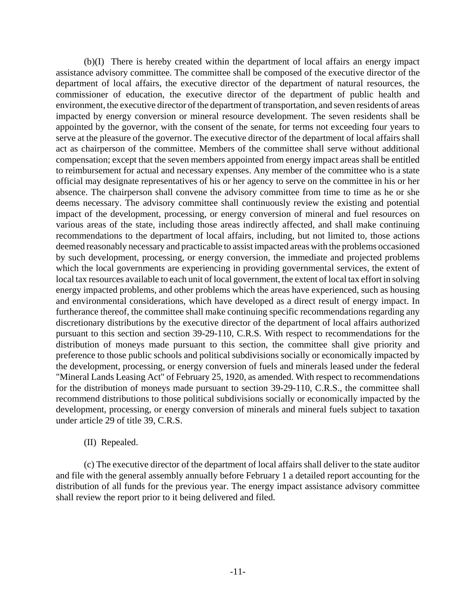(b)(I) There is hereby created within the department of local affairs an energy impact assistance advisory committee. The committee shall be composed of the executive director of the department of local affairs, the executive director of the department of natural resources, the commissioner of education, the executive director of the department of public health and environment, the executive director of the department of transportation, and seven residents of areas impacted by energy conversion or mineral resource development. The seven residents shall be appointed by the governor, with the consent of the senate, for terms not exceeding four years to serve at the pleasure of the governor. The executive director of the department of local affairs shall act as chairperson of the committee. Members of the committee shall serve without additional compensation; except that the seven members appointed from energy impact areas shall be entitled to reimbursement for actual and necessary expenses. Any member of the committee who is a state official may designate representatives of his or her agency to serve on the committee in his or her absence. The chairperson shall convene the advisory committee from time to time as he or she deems necessary. The advisory committee shall continuously review the existing and potential impact of the development, processing, or energy conversion of mineral and fuel resources on various areas of the state, including those areas indirectly affected, and shall make continuing recommendations to the department of local affairs, including, but not limited to, those actions deemed reasonably necessary and practicable to assist impacted areas with the problems occasioned by such development, processing, or energy conversion, the immediate and projected problems which the local governments are experiencing in providing governmental services, the extent of local tax resources available to each unit of local government, the extent of local tax effort in solving energy impacted problems, and other problems which the areas have experienced, such as housing and environmental considerations, which have developed as a direct result of energy impact. In furtherance thereof, the committee shall make continuing specific recommendations regarding any discretionary distributions by the executive director of the department of local affairs authorized pursuant to this section and section 39-29-110, C.R.S. With respect to recommendations for the distribution of moneys made pursuant to this section, the committee shall give priority and preference to those public schools and political subdivisions socially or economically impacted by the development, processing, or energy conversion of fuels and minerals leased under the federal "Mineral Lands Leasing Act" of February 25, 1920, as amended. With respect to recommendations for the distribution of moneys made pursuant to section 39-29-110, C.R.S., the committee shall recommend distributions to those political subdivisions socially or economically impacted by the development, processing, or energy conversion of minerals and mineral fuels subject to taxation under article 29 of title 39, C.R.S.

#### (II) Repealed.

(c) The executive director of the department of local affairs shall deliver to the state auditor and file with the general assembly annually before February 1 a detailed report accounting for the distribution of all funds for the previous year. The energy impact assistance advisory committee shall review the report prior to it being delivered and filed.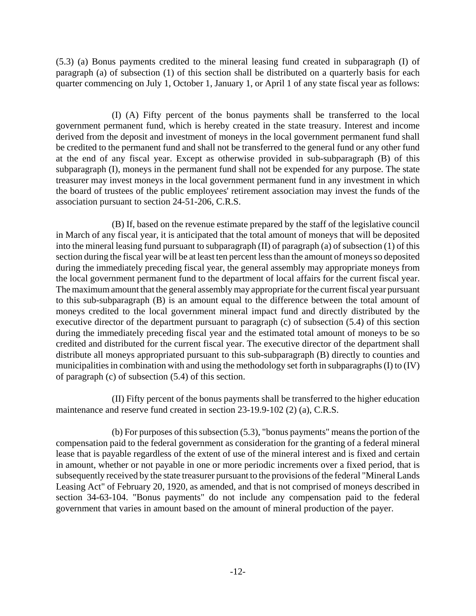(5.3) (a) Bonus payments credited to the mineral leasing fund created in subparagraph (I) of paragraph (a) of subsection (1) of this section shall be distributed on a quarterly basis for each quarter commencing on July 1, October 1, January 1, or April 1 of any state fiscal year as follows:

(I) (A) Fifty percent of the bonus payments shall be transferred to the local government permanent fund, which is hereby created in the state treasury. Interest and income derived from the deposit and investment of moneys in the local government permanent fund shall be credited to the permanent fund and shall not be transferred to the general fund or any other fund at the end of any fiscal year. Except as otherwise provided in sub-subparagraph (B) of this subparagraph (I), moneys in the permanent fund shall not be expended for any purpose. The state treasurer may invest moneys in the local government permanent fund in any investment in which the board of trustees of the public employees' retirement association may invest the funds of the association pursuant to section 24-51-206, C.R.S.

(B) If, based on the revenue estimate prepared by the staff of the legislative council in March of any fiscal year, it is anticipated that the total amount of moneys that will be deposited into the mineral leasing fund pursuant to subparagraph (II) of paragraph (a) of subsection (1) of this section during the fiscal year will be at least ten percent less than the amount of moneys so deposited during the immediately preceding fiscal year, the general assembly may appropriate moneys from the local government permanent fund to the department of local affairs for the current fiscal year. The maximum amount that the general assembly may appropriate for the current fiscal year pursuant to this sub-subparagraph (B) is an amount equal to the difference between the total amount of moneys credited to the local government mineral impact fund and directly distributed by the executive director of the department pursuant to paragraph (c) of subsection (5.4) of this section during the immediately preceding fiscal year and the estimated total amount of moneys to be so credited and distributed for the current fiscal year. The executive director of the department shall distribute all moneys appropriated pursuant to this sub-subparagraph (B) directly to counties and municipalities in combination with and using the methodology set forth in subparagraphs (I) to (IV) of paragraph (c) of subsection (5.4) of this section.

(II) Fifty percent of the bonus payments shall be transferred to the higher education maintenance and reserve fund created in section 23-19.9-102 (2) (a), C.R.S.

(b) For purposes of this subsection (5.3), "bonus payments" means the portion of the compensation paid to the federal government as consideration for the granting of a federal mineral lease that is payable regardless of the extent of use of the mineral interest and is fixed and certain in amount, whether or not payable in one or more periodic increments over a fixed period, that is subsequently received by the state treasurer pursuant to the provisions of the federal "Mineral Lands Leasing Act" of February 20, 1920, as amended, and that is not comprised of moneys described in section 34-63-104. "Bonus payments" do not include any compensation paid to the federal government that varies in amount based on the amount of mineral production of the payer.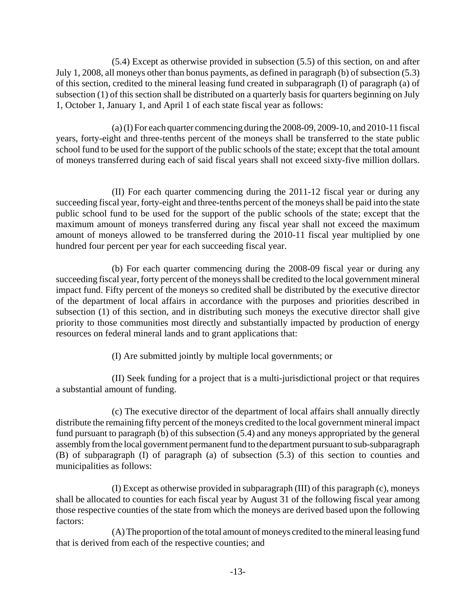(5.4) Except as otherwise provided in subsection (5.5) of this section, on and after July 1, 2008, all moneys other than bonus payments, as defined in paragraph (b) of subsection (5.3) of this section, credited to the mineral leasing fund created in subparagraph (I) of paragraph (a) of subsection (1) of this section shall be distributed on a quarterly basis for quarters beginning on July 1, October 1, January 1, and April 1 of each state fiscal year as follows:

(a) (I) For each quarter commencing during the 2008-09, 2009-10, and 2010-11 fiscal years, forty-eight and three-tenths percent of the moneys shall be transferred to the state public school fund to be used for the support of the public schools of the state; except that the total amount of moneys transferred during each of said fiscal years shall not exceed sixty-five million dollars.

(II) For each quarter commencing during the 2011-12 fiscal year or during any succeeding fiscal year, forty-eight and three-tenths percent of the moneys shall be paid into the state public school fund to be used for the support of the public schools of the state; except that the maximum amount of moneys transferred during any fiscal year shall not exceed the maximum amount of moneys allowed to be transferred during the 2010-11 fiscal year multiplied by one hundred four percent per year for each succeeding fiscal year.

(b) For each quarter commencing during the 2008-09 fiscal year or during any succeeding fiscal year, forty percent of the moneys shall be credited to the local government mineral impact fund. Fifty percent of the moneys so credited shall be distributed by the executive director of the department of local affairs in accordance with the purposes and priorities described in subsection (1) of this section, and in distributing such moneys the executive director shall give priority to those communities most directly and substantially impacted by production of energy resources on federal mineral lands and to grant applications that:

(I) Are submitted jointly by multiple local governments; or

(II) Seek funding for a project that is a multi-jurisdictional project or that requires a substantial amount of funding.

(c) The executive director of the department of local affairs shall annually directly distribute the remaining fifty percent of the moneys credited to the local government mineral impact fund pursuant to paragraph (b) of this subsection (5.4) and any moneys appropriated by the general assembly from the local government permanent fund to the department pursuant to sub-subparagraph (B) of subparagraph (I) of paragraph (a) of subsection (5.3) of this section to counties and municipalities as follows:

(I) Except as otherwise provided in subparagraph (III) of this paragraph (c), moneys shall be allocated to counties for each fiscal year by August 31 of the following fiscal year among those respective counties of the state from which the moneys are derived based upon the following factors:

(A) The proportion of the total amount of moneys credited to the mineral leasing fund that is derived from each of the respective counties; and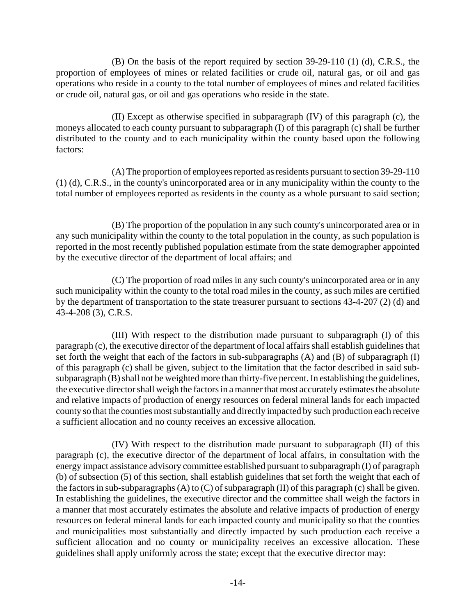(B) On the basis of the report required by section 39-29-110 (1) (d), C.R.S., the proportion of employees of mines or related facilities or crude oil, natural gas, or oil and gas operations who reside in a county to the total number of employees of mines and related facilities or crude oil, natural gas, or oil and gas operations who reside in the state.

(II) Except as otherwise specified in subparagraph (IV) of this paragraph (c), the moneys allocated to each county pursuant to subparagraph (I) of this paragraph (c) shall be further distributed to the county and to each municipality within the county based upon the following factors:

(A) The proportion of employees reported as residents pursuant to section 39-29-110 (1) (d), C.R.S., in the county's unincorporated area or in any municipality within the county to the total number of employees reported as residents in the county as a whole pursuant to said section;

(B) The proportion of the population in any such county's unincorporated area or in any such municipality within the county to the total population in the county, as such population is reported in the most recently published population estimate from the state demographer appointed by the executive director of the department of local affairs; and

(C) The proportion of road miles in any such county's unincorporated area or in any such municipality within the county to the total road miles in the county, as such miles are certified by the department of transportation to the state treasurer pursuant to sections 43-4-207 (2) (d) and 43-4-208 (3), C.R.S.

(III) With respect to the distribution made pursuant to subparagraph (I) of this paragraph (c), the executive director of the department of local affairs shall establish guidelines that set forth the weight that each of the factors in sub-subparagraphs (A) and (B) of subparagraph (I) of this paragraph (c) shall be given, subject to the limitation that the factor described in said subsubparagraph (B) shall not be weighted more than thirty-five percent. In establishing the guidelines, the executive director shall weigh the factors in a manner that most accurately estimates the absolute and relative impacts of production of energy resources on federal mineral lands for each impacted county so that the counties most substantially and directly impacted by such production each receive a sufficient allocation and no county receives an excessive allocation.

(IV) With respect to the distribution made pursuant to subparagraph (II) of this paragraph (c), the executive director of the department of local affairs, in consultation with the energy impact assistance advisory committee established pursuant to subparagraph (I) of paragraph (b) of subsection (5) of this section, shall establish guidelines that set forth the weight that each of the factors in sub-subparagraphs  $(A)$  to  $(C)$  of subparagraph  $(II)$  of this paragraph  $(c)$  shall be given. In establishing the guidelines, the executive director and the committee shall weigh the factors in a manner that most accurately estimates the absolute and relative impacts of production of energy resources on federal mineral lands for each impacted county and municipality so that the counties and municipalities most substantially and directly impacted by such production each receive a sufficient allocation and no county or municipality receives an excessive allocation. These guidelines shall apply uniformly across the state; except that the executive director may: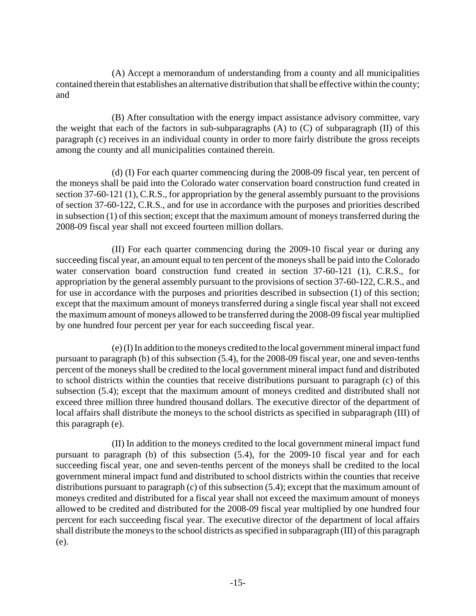(A) Accept a memorandum of understanding from a county and all municipalities contained therein that establishes an alternative distribution that shall be effective within the county; and

(B) After consultation with the energy impact assistance advisory committee, vary the weight that each of the factors in sub-subparagraphs (A) to (C) of subparagraph (II) of this paragraph (c) receives in an individual county in order to more fairly distribute the gross receipts among the county and all municipalities contained therein.

(d) (I) For each quarter commencing during the 2008-09 fiscal year, ten percent of the moneys shall be paid into the Colorado water conservation board construction fund created in section 37-60-121 (1), C.R.S., for appropriation by the general assembly pursuant to the provisions of section 37-60-122, C.R.S., and for use in accordance with the purposes and priorities described in subsection (1) of this section; except that the maximum amount of moneys transferred during the 2008-09 fiscal year shall not exceed fourteen million dollars.

(II) For each quarter commencing during the 2009-10 fiscal year or during any succeeding fiscal year, an amount equal to ten percent of the moneys shall be paid into the Colorado water conservation board construction fund created in section 37-60-121 (1), C.R.S., for appropriation by the general assembly pursuant to the provisions of section 37-60-122, C.R.S., and for use in accordance with the purposes and priorities described in subsection (1) of this section; except that the maximum amount of moneys transferred during a single fiscal year shall not exceed the maximum amount of moneys allowed to be transferred during the 2008-09 fiscal year multiplied by one hundred four percent per year for each succeeding fiscal year.

(e) (I) In addition to the moneys credited to the local government mineral impact fund pursuant to paragraph (b) of this subsection (5.4), for the 2008-09 fiscal year, one and seven-tenths percent of the moneys shall be credited to the local government mineral impact fund and distributed to school districts within the counties that receive distributions pursuant to paragraph (c) of this subsection (5.4); except that the maximum amount of moneys credited and distributed shall not exceed three million three hundred thousand dollars. The executive director of the department of local affairs shall distribute the moneys to the school districts as specified in subparagraph (III) of this paragraph (e).

(II) In addition to the moneys credited to the local government mineral impact fund pursuant to paragraph (b) of this subsection (5.4), for the 2009-10 fiscal year and for each succeeding fiscal year, one and seven-tenths percent of the moneys shall be credited to the local government mineral impact fund and distributed to school districts within the counties that receive distributions pursuant to paragraph (c) of this subsection (5.4); except that the maximum amount of moneys credited and distributed for a fiscal year shall not exceed the maximum amount of moneys allowed to be credited and distributed for the 2008-09 fiscal year multiplied by one hundred four percent for each succeeding fiscal year. The executive director of the department of local affairs shall distribute the moneys to the school districts as specified in subparagraph (III) of this paragraph (e).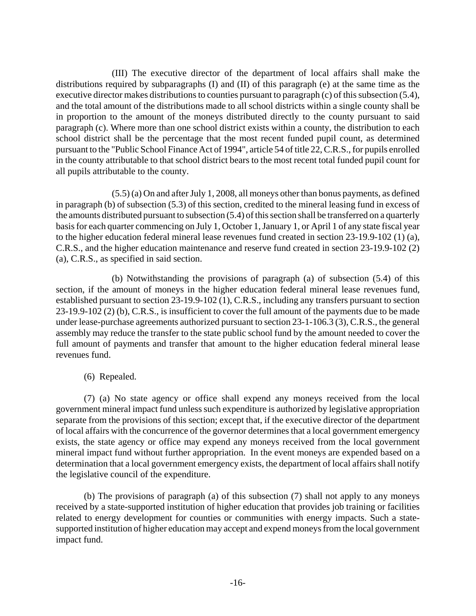(III) The executive director of the department of local affairs shall make the distributions required by subparagraphs (I) and (II) of this paragraph (e) at the same time as the executive director makes distributions to counties pursuant to paragraph (c) of this subsection (5.4), and the total amount of the distributions made to all school districts within a single county shall be in proportion to the amount of the moneys distributed directly to the county pursuant to said paragraph (c). Where more than one school district exists within a county, the distribution to each school district shall be the percentage that the most recent funded pupil count, as determined pursuant to the "Public School Finance Act of 1994", article 54 of title 22, C.R.S., for pupils enrolled in the county attributable to that school district bears to the most recent total funded pupil count for all pupils attributable to the county.

(5.5) (a) On and after July 1, 2008, all moneys other than bonus payments, as defined in paragraph (b) of subsection (5.3) of this section, credited to the mineral leasing fund in excess of the amounts distributed pursuant to subsection (5.4) of this section shall be transferred on a quarterly basis for each quarter commencing on July 1, October 1, January 1, or April 1 of any state fiscal year to the higher education federal mineral lease revenues fund created in section 23-19.9-102 (1) (a), C.R.S., and the higher education maintenance and reserve fund created in section 23-19.9-102 (2) (a), C.R.S., as specified in said section.

(b) Notwithstanding the provisions of paragraph (a) of subsection (5.4) of this section, if the amount of moneys in the higher education federal mineral lease revenues fund, established pursuant to section 23-19.9-102 (1), C.R.S., including any transfers pursuant to section 23-19.9-102 (2) (b), C.R.S., is insufficient to cover the full amount of the payments due to be made under lease-purchase agreements authorized pursuant to section 23-1-106.3 (3), C.R.S., the general assembly may reduce the transfer to the state public school fund by the amount needed to cover the full amount of payments and transfer that amount to the higher education federal mineral lease revenues fund.

#### (6) Repealed.

(7) (a) No state agency or office shall expend any moneys received from the local government mineral impact fund unless such expenditure is authorized by legislative appropriation separate from the provisions of this section; except that, if the executive director of the department of local affairs with the concurrence of the governor determines that a local government emergency exists, the state agency or office may expend any moneys received from the local government mineral impact fund without further appropriation. In the event moneys are expended based on a determination that a local government emergency exists, the department of local affairs shall notify the legislative council of the expenditure.

(b) The provisions of paragraph (a) of this subsection (7) shall not apply to any moneys received by a state-supported institution of higher education that provides job training or facilities related to energy development for counties or communities with energy impacts. Such a statesupported institution of higher education may accept and expend moneys from the local government impact fund.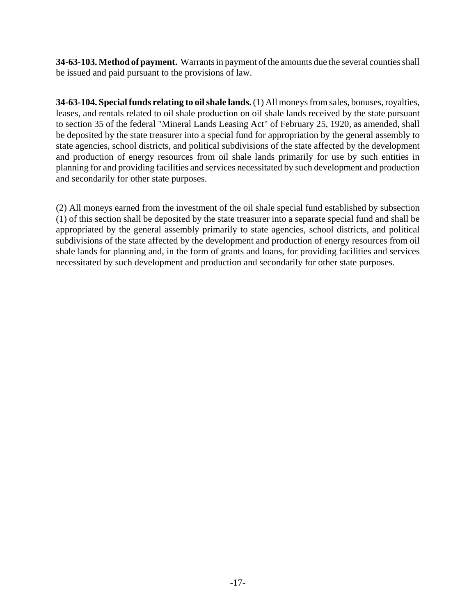**34-63-103. Method of payment.** Warrants in payment of the amounts due the several counties shall be issued and paid pursuant to the provisions of law.

**34-63-104. Special funds relating to oil shale lands.** (1) All moneys from sales, bonuses, royalties, leases, and rentals related to oil shale production on oil shale lands received by the state pursuant to section 35 of the federal "Mineral Lands Leasing Act" of February 25, 1920, as amended, shall be deposited by the state treasurer into a special fund for appropriation by the general assembly to state agencies, school districts, and political subdivisions of the state affected by the development and production of energy resources from oil shale lands primarily for use by such entities in planning for and providing facilities and services necessitated by such development and production and secondarily for other state purposes.

(2) All moneys earned from the investment of the oil shale special fund established by subsection (1) of this section shall be deposited by the state treasurer into a separate special fund and shall be appropriated by the general assembly primarily to state agencies, school districts, and political subdivisions of the state affected by the development and production of energy resources from oil shale lands for planning and, in the form of grants and loans, for providing facilities and services necessitated by such development and production and secondarily for other state purposes.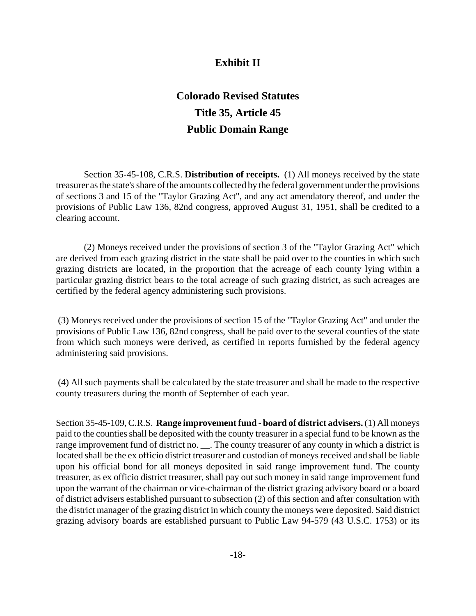# **Exhibit II**

# **Colorado Revised Statutes Title 35, Article 45 Public Domain Range**

<span id="page-21-0"></span>Section 35-45-108, C.R.S. **Distribution of receipts.** (1) All moneys received by the state treasurer as the state's share of the amounts collected by the federal government under the provisions of sections 3 and 15 of the "Taylor Grazing Act", and any act amendatory thereof, and under the provisions of Public Law 136, 82nd congress, approved August 31, 1951, shall be credited to a clearing account.

(2) Moneys received under the provisions of section 3 of the "Taylor Grazing Act" which are derived from each grazing district in the state shall be paid over to the counties in which such grazing districts are located, in the proportion that the acreage of each county lying within a particular grazing district bears to the total acreage of such grazing district, as such acreages are certified by the federal agency administering such provisions.

 (3) Moneys received under the provisions of section 15 of the "Taylor Grazing Act" and under the provisions of Public Law 136, 82nd congress, shall be paid over to the several counties of the state from which such moneys were derived, as certified in reports furnished by the federal agency administering said provisions.

 (4) All such payments shall be calculated by the state treasurer and shall be made to the respective county treasurers during the month of September of each year.

Section 35-45-109, C.R.S. **Range improvement fund - board of district advisers.** (1) All moneys paid to the counties shall be deposited with the county treasurer in a special fund to be known as the range improvement fund of district no. \_\_\_. The county treasurer of any county in which a district is located shall be the ex officio district treasurer and custodian of moneys received and shall be liable upon his official bond for all moneys deposited in said range improvement fund. The county treasurer, as ex officio district treasurer, shall pay out such money in said range improvement fund upon the warrant of the chairman or vice-chairman of the district grazing advisory board or a board of district advisers established pursuant to subsection (2) of this section and after consultation with the district manager of the grazing district in which county the moneys were deposited. Said district grazing advisory boards are established pursuant to Public Law 94-579 (43 U.S.C. 1753) or its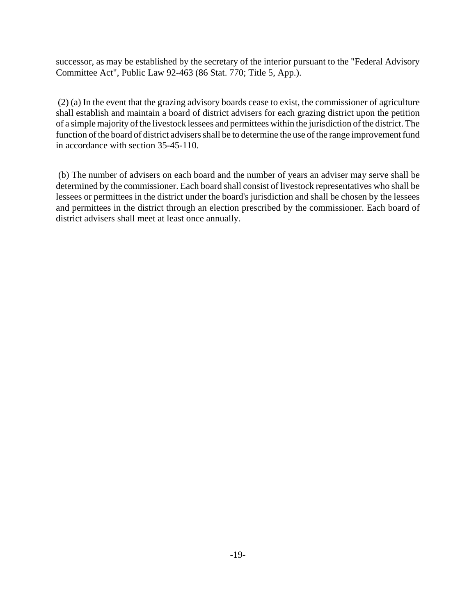successor, as may be established by the secretary of the interior pursuant to the "Federal Advisory Committee Act", Public Law 92-463 (86 Stat. 770; Title 5, App.).

 (2) (a) In the event that the grazing advisory boards cease to exist, the commissioner of agriculture shall establish and maintain a board of district advisers for each grazing district upon the petition of a simple majority of the livestock lessees and permittees within the jurisdiction of the district. The function of the board of district advisers shall be to determine the use of the range improvement fund in accordance with section 35-45-110.

 (b) The number of advisers on each board and the number of years an adviser may serve shall be determined by the commissioner. Each board shall consist of livestock representatives who shall be lessees or permittees in the district under the board's jurisdiction and shall be chosen by the lessees and permittees in the district through an election prescribed by the commissioner. Each board of district advisers shall meet at least once annually.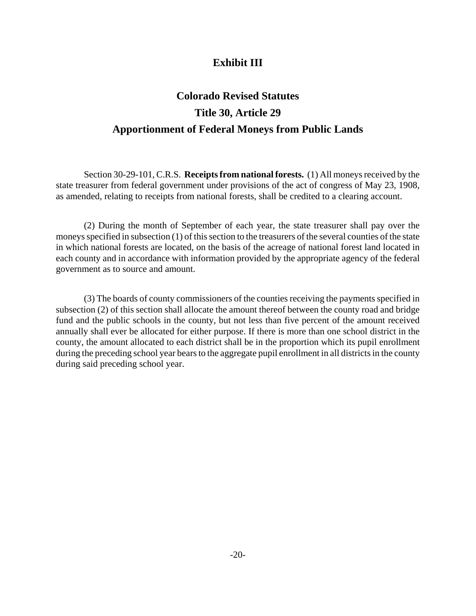# **Exhibit III**

# <span id="page-23-0"></span>**Colorado Revised Statutes Title 30, Article 29 Apportionment of Federal Moneys from Public Lands**

Section 30-29-101, C.R.S. **Receipts from national forests.** (1) All moneys received by the state treasurer from federal government under provisions of the act of congress of May 23, 1908, as amended, relating to receipts from national forests, shall be credited to a clearing account.

(2) During the month of September of each year, the state treasurer shall pay over the moneys specified in subsection (1) of this section to the treasurers of the several counties of the state in which national forests are located, on the basis of the acreage of national forest land located in each county and in accordance with information provided by the appropriate agency of the federal government as to source and amount.

(3) The boards of county commissioners of the counties receiving the payments specified in subsection (2) of this section shall allocate the amount thereof between the county road and bridge fund and the public schools in the county, but not less than five percent of the amount received annually shall ever be allocated for either purpose. If there is more than one school district in the county, the amount allocated to each district shall be in the proportion which its pupil enrollment during the preceding school year bears to the aggregate pupil enrollment in all districts in the county during said preceding school year.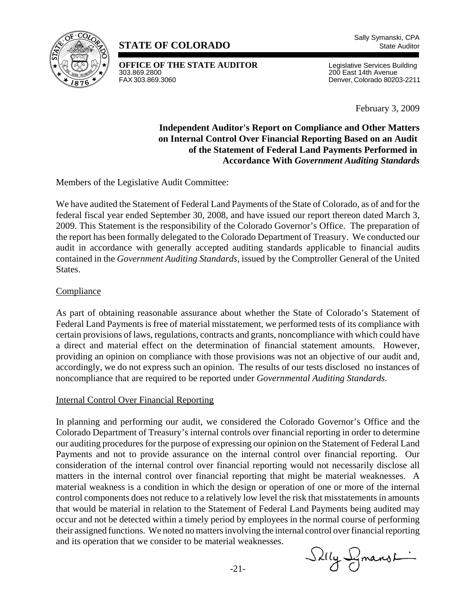<span id="page-24-0"></span>

## **STATE OF COLORADO** State Auditor

**OFFICE OF THE STATE AUDITOR** Legislative Services Building<br>303.869.2800<br>200 East 14th Avenue 303.869.2800 200 East 14th Avenue

Denver, Colorado 80203-2211

February 3, 2009

#### **Independent Auditor's Report on Compliance and Other Matters on Internal Control Over Financial Reporting Based on an Audit of the Statement of Federal Land Payments Performed in Accordance With** *Government Auditing Standards*

Members of the Legislative Audit Committee:

We have audited the Statement of Federal Land Payments of the State of Colorado, as of and for the federal fiscal year ended September 30, 2008, and have issued our report thereon dated March 3, 2009. This Statement is the responsibility of the Colorado Governor's Office. The preparation of the report has been formally delegated to the Colorado Department of Treasury. We conducted our audit in accordance with generally accepted auditing standards applicable to financial audits contained in the *Government Auditing Standards*, issued by the Comptroller General of the United States.

#### Compliance

As part of obtaining reasonable assurance about whether the State of Colorado's Statement of Federal Land Payments is free of material misstatement, we performed tests of its compliance with certain provisions of laws, regulations, contracts and grants, noncompliance with which could have a direct and material effect on the determination of financial statement amounts. However, providing an opinion on compliance with those provisions was not an objective of our audit and, accordingly, we do not express such an opinion. The results of our tests disclosed no instances of noncompliance that are required to be reported under *Governmental Auditing Standards*.

#### Internal Control Over Financial Reporting

In planning and performing our audit, we considered the Colorado Governor's Office and the Colorado Department of Treasury's internal controls over financial reporting in order to determine our auditing procedures for the purpose of expressing our opinion on the Statement of Federal Land Payments and not to provide assurance on the internal control over financial reporting. Our consideration of the internal control over financial reporting would not necessarily disclose all matters in the internal control over financial reporting that might be material weaknesses. A material weakness is a condition in which the design or operation of one or more of the internal control components does not reduce to a relatively low level the risk that misstatements in amounts that would be material in relation to the Statement of Federal Land Payments being audited may occur and not be detected within a timely period by employees in the normal course of performing their assigned functions. We noted no matters involving the internal control over financial reporting and its operation that we consider to be material weaknesses.

Silly Symanst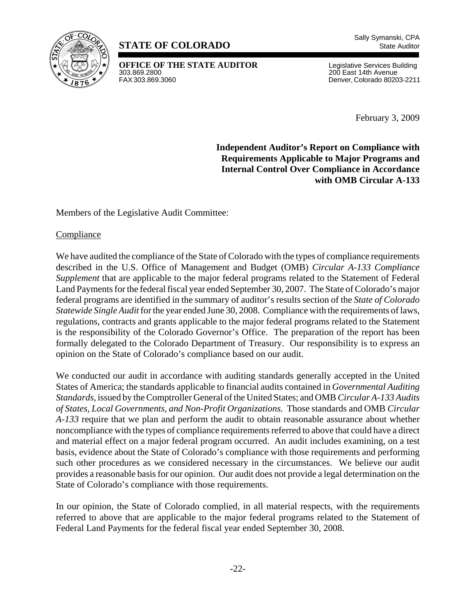<span id="page-25-0"></span>

# **STATE OF COLORADO** State Auditor

**OFFICE OF THE STATE AUDITOR** Legislative Services Building<br>303.869.2800 200 East 14th Avenue 303.869.2800 200 East 14th Avenue

Denver, Colorado 80203-2211

February 3, 2009

**Independent Auditor's Report on Compliance with Requirements Applicable to Major Programs and Internal Control Over Compliance in Accordance with OMB Circular A-133**

Members of the Legislative Audit Committee:

**Compliance** 

We have audited the compliance of the State of Colorado with the types of compliance requirements described in the U.S. Office of Management and Budget (OMB) *Circular A-133 Compliance Supplement* that are applicable to the major federal programs related to the Statement of Federal Land Payments for the federal fiscal year ended September 30, 2007. The State of Colorado's major federal programs are identified in the summary of auditor's results section of the *State of Colorado Statewide Single Audit* for the year ended June 30, 2008. Compliance with the requirements of laws, regulations, contracts and grants applicable to the major federal programs related to the Statement is the responsibility of the Colorado Governor's Office. The preparation of the report has been formally delegated to the Colorado Department of Treasury. Our responsibility is to express an opinion on the State of Colorado's compliance based on our audit.

We conducted our audit in accordance with auditing standards generally accepted in the United States of America; the standards applicable to financial audits contained in *Governmental Auditing Standards,* issued by the Comptroller General of the United States; and OMB *Circular A-133 Audits of States, Local Governments, and Non-Profit Organizations.* Those standards and OMB *Circular A-133* require that we plan and perform the audit to obtain reasonable assurance about whether noncompliance with the types of compliance requirements referred to above that could have a direct and material effect on a major federal program occurred. An audit includes examining, on a test basis, evidence about the State of Colorado's compliance with those requirements and performing such other procedures as we considered necessary in the circumstances. We believe our audit provides a reasonable basis for our opinion. Our audit does not provide a legal determination on the State of Colorado's compliance with those requirements.

In our opinion, the State of Colorado complied, in all material respects, with the requirements referred to above that are applicable to the major federal programs related to the Statement of Federal Land Payments for the federal fiscal year ended September 30, 2008.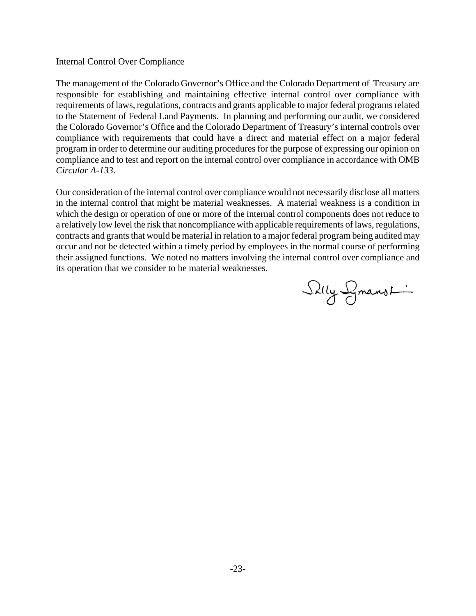#### Internal Control Over Compliance

The management of the Colorado Governor's Office and the Colorado Department of Treasury are responsible for establishing and maintaining effective internal control over compliance with requirements of laws, regulations, contracts and grants applicable to major federal programs related to the Statement of Federal Land Payments. In planning and performing our audit, we considered the Colorado Governor's Office and the Colorado Department of Treasury's internal controls over compliance with requirements that could have a direct and material effect on a major federal program in order to determine our auditing procedures for the purpose of expressing our opinion on compliance and to test and report on the internal control over compliance in accordance with OMB *Circular A-133*.

Our consideration of the internal control over compliance would not necessarily disclose all matters in the internal control that might be material weaknesses. A material weakness is a condition in which the design or operation of one or more of the internal control components does not reduce to a relatively low level the risk that noncompliance with applicable requirements of laws, regulations, contracts and grants that would be material in relation to a major federal program being audited may occur and not be detected within a timely period by employees in the normal course of performing their assigned functions. We noted no matters involving the internal control over compliance and its operation that we consider to be material weaknesses.

Silly Symanst